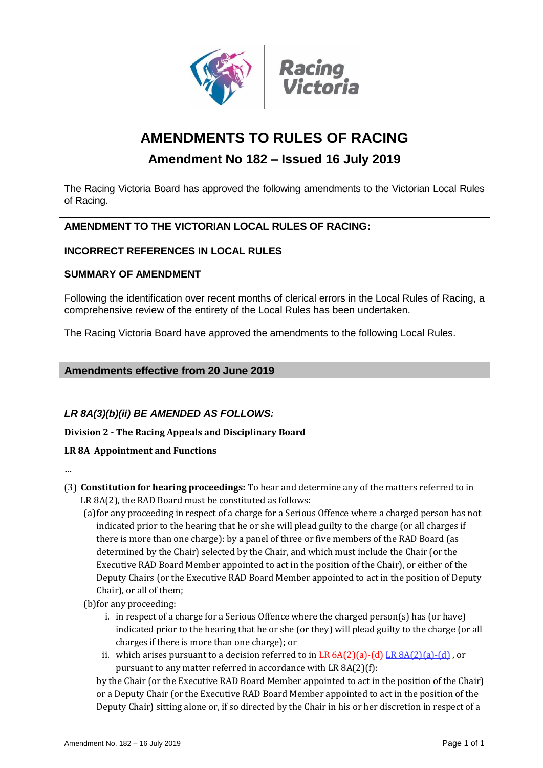

# **AMENDMENTS TO RULES OF RACING**

# **Amendment No 182 – Issued 16 July 2019**

The Racing Victoria Board has approved the following amendments to the Victorian Local Rules of Racing.

### **AMENDMENT TO THE VICTORIAN LOCAL RULES OF RACING:**

### **INCORRECT REFERENCES IN LOCAL RULES**

#### **SUMMARY OF AMENDMENT**

Following the identification over recent months of clerical errors in the Local Rules of Racing, a comprehensive review of the entirety of the Local Rules has been undertaken.

The Racing Victoria Board have approved the amendments to the following Local Rules.

### **Amendments effective from 20 June 2019**

# *LR 8A(3)(b)(ii) BE AMENDED AS FOLLOWS:*

**Division 2 - The Racing Appeals and Disciplinary Board**

### **LR 8A Appointment and Functions**

**…**

- (3) **Constitution for hearing proceedings:** To hear and determine any of the matters referred to in LR 8A(2), the RAD Board must be constituted as follows:
	- (a)for any proceeding in respect of a charge for a Serious Offence where a charged person has not indicated prior to the hearing that he or she will plead guilty to the charge (or all charges if there is more than one charge): by a panel of three or five members of the RAD Board (as determined by the Chair) selected by the Chair, and which must include the Chair (or the Executive RAD Board Member appointed to act in the position of the Chair), or either of the Deputy Chairs (or the Executive RAD Board Member appointed to act in the position of Deputy Chair), or all of them;
	- (b)for any proceeding:
		- i. in respect of a charge for a Serious Offence where the charged person(s) has (or have) indicated prior to the hearing that he or she (or they) will plead guilty to the charge (or all charges if there is more than one charge); or
		- ii. which arises pursuant to a decision referred to in  $LR 6A(2)(a)$  (d) LR  $8A(2)(a)$  (d), or pursuant to any matter referred in accordance with LR 8A(2)(f):

by the Chair (or the Executive RAD Board Member appointed to act in the position of the Chair) or a Deputy Chair (or the Executive RAD Board Member appointed to act in the position of the Deputy Chair) sitting alone or, if so directed by the Chair in his or her discretion in respect of a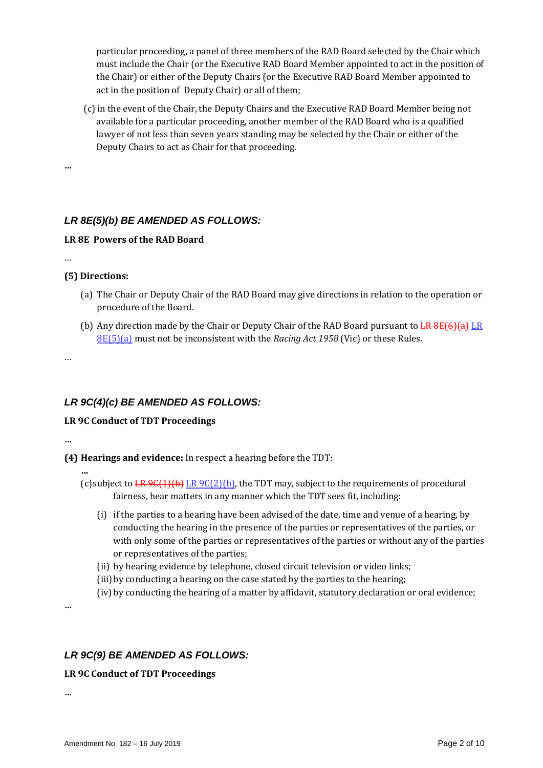particular proceeding, a panel of three members of the RAD Board selected by the Chair which must include the Chair (or the Executive RAD Board Member appointed to act in the position of the Chair) or either of the Deputy Chairs (or the Executive RAD Board Member appointed to act in the position of Deputy Chair) or all of them;

(c) in the event of the Chair, the Deputy Chairs and the Executive RAD Board Member being not available for a particular proceeding, another member of the RAD Board who is a qualified lawyer of not less than seven years standing may be selected by the Chair or either of the Deputy Chairs to act as Chair for that proceeding.

**…**

# *LR 8E(5)(b) BE AMENDED AS FOLLOWS:*

### **LR 8E Powers of the RAD Board**

…

### **(5) Directions:**

- (a) The Chair or Deputy Chair of the RAD Board may give directions in relation to the operation or procedure of the Board.
- (b) Any direction made by the Chair or Deputy Chair of the RAD Board pursuant to  $LR$   $B$   $(B)$   $(R)$   $LR$ 8E(5)(a) must not be inconsistent with the *Racing Act 1958* (Vic) or these Rules.

…

# *LR 9C(4)(c) BE AMENDED AS FOLLOWS:*

#### **LR 9C Conduct of TDT Proceedings**

**…**

**…**

- **(4) Hearings and evidence:** In respect a hearing before the TDT:
	- (c) subject to  $LR$   $9C(1)(b)$  LR  $9C(2)(b)$ , the TDT may, subject to the requirements of procedural fairness, hear matters in any manner which the TDT sees fit, including:
		- (i) if the parties to a hearing have been advised of the date, time and venue of a hearing, by conducting the hearing in the presence of the parties or representatives of the parties, or with only some of the parties or representatives of the parties or without any of the parties or representatives of the parties;
		- (ii) by hearing evidence by telephone, closed circuit television or video links;
		- (iii)by conducting a hearing on the case stated by the parties to the hearing;
		- (iv) by conducting the hearing of a matter by affidavit, statutory declaration or oral evidence;

**…**

# *LR 9C(9) BE AMENDED AS FOLLOWS:*

### **LR 9C Conduct of TDT Proceedings**

**…**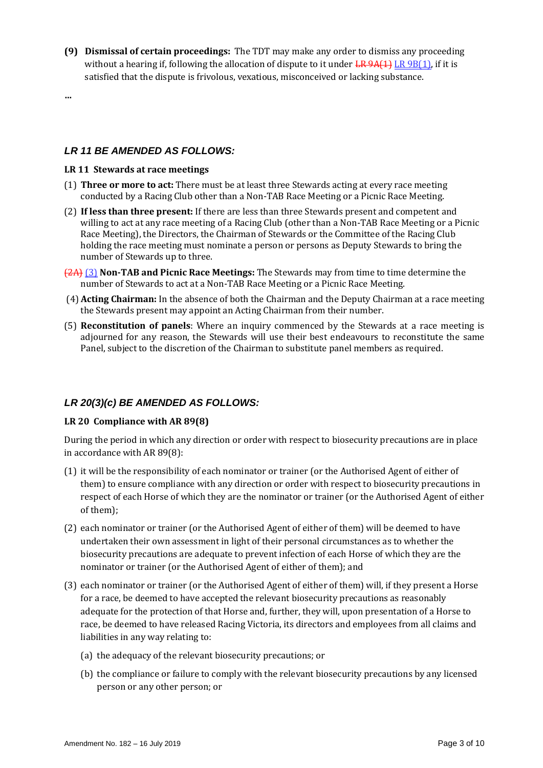**(9) Dismissal of certain proceedings:** The TDT may make any order to dismiss any proceeding without a hearing if, following the allocation of dispute to it under  $LR$  9A(1) LR 9B(1), if it is satisfied that the dispute is frivolous, vexatious, misconceived or lacking substance.

**…**

### *LR 11 BE AMENDED AS FOLLOWS:*

#### **LR 11 Stewards at race meetings**

- (1) **Three or more to act:** There must be at least three Stewards acting at every race meeting conducted by a Racing Club other than a Non-TAB Race Meeting or a Picnic Race Meeting.
- (2) **If less than three present:** If there are less than three Stewards present and competent and willing to act at any race meeting of a Racing Club (other than a Non-TAB Race Meeting or a Picnic Race Meeting), the Directors, the Chairman of Stewards or the Committee of the Racing Club holding the race meeting must nominate a person or persons as Deputy Stewards to bring the number of Stewards up to three.
- (2A) (3) **Non-TAB and Picnic Race Meetings:** The Stewards may from time to time determine the number of Stewards to act at a Non-TAB Race Meeting or a Picnic Race Meeting.
- (4) **Acting Chairman:** In the absence of both the Chairman and the Deputy Chairman at a race meeting the Stewards present may appoint an Acting Chairman from their number.
- (5) **Reconstitution of panels**: Where an inquiry commenced by the Stewards at a race meeting is adjourned for any reason, the Stewards will use their best endeavours to reconstitute the same Panel, subject to the discretion of the Chairman to substitute panel members as required.

### *LR 20(3)(c) BE AMENDED AS FOLLOWS:*

#### **LR 20 Compliance with AR 89(8)**

During the period in which any direction or order with respect to biosecurity precautions are in place in accordance with AR 89(8):

- (1) it will be the responsibility of each nominator or trainer (or the Authorised Agent of either of them) to ensure compliance with any direction or order with respect to biosecurity precautions in respect of each Horse of which they are the nominator or trainer (or the Authorised Agent of either of them);
- (2) each nominator or trainer (or the Authorised Agent of either of them) will be deemed to have undertaken their own assessment in light of their personal circumstances as to whether the biosecurity precautions are adequate to prevent infection of each Horse of which they are the nominator or trainer (or the Authorised Agent of either of them); and
- (3) each nominator or trainer (or the Authorised Agent of either of them) will, if they present a Horse for a race, be deemed to have accepted the relevant biosecurity precautions as reasonably adequate for the protection of that Horse and, further, they will, upon presentation of a Horse to race, be deemed to have released Racing Victoria, its directors and employees from all claims and liabilities in any way relating to:
	- (a) the adequacy of the relevant biosecurity precautions; or
	- (b) the compliance or failure to comply with the relevant biosecurity precautions by any licensed person or any other person; or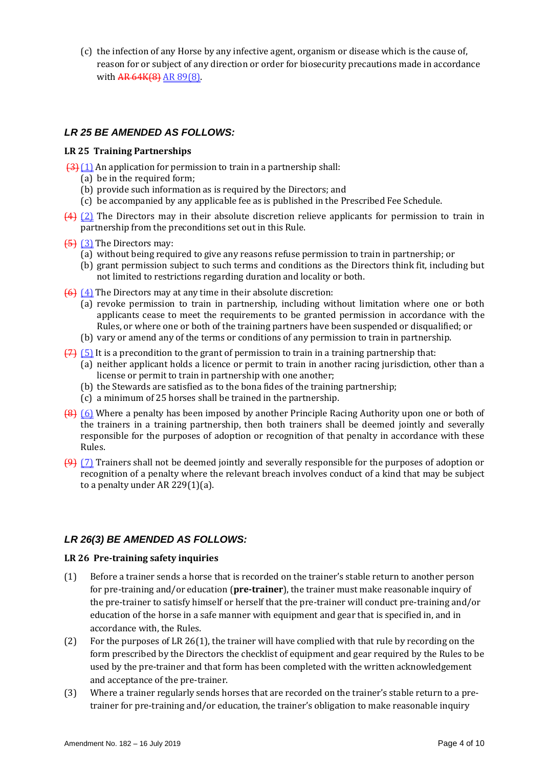(c) the infection of any Horse by any infective agent, organism or disease which is the cause of, reason for or subject of any direction or order for biosecurity precautions made in accordance with AR 64K(8) AR 89(8).

### *LR 25 BE AMENDED AS FOLLOWS:*

#### **LR 25 Training Partnerships**

- $\left(3\right)$  (1) An application for permission to train in a partnership shall:
	- (a) be in the required form;
	- (b) provide such information as is required by the Directors; and
	- (c) be accompanied by any applicable fee as is published in the Prescribed Fee Schedule.
- (4) (2) The Directors may in their absolute discretion relieve applicants for permission to train in partnership from the preconditions set out in this Rule.
- $\overline{5}$  (3) The Directors may:
	- (a) without being required to give any reasons refuse permission to train in partnership; or
	- (b) grant permission subject to such terms and conditions as the Directors think fit, including but not limited to restrictions regarding duration and locality or both.
- $(6)$   $(4)$  The Directors may at any time in their absolute discretion:
	- (a) revoke permission to train in partnership, including without limitation where one or both applicants cease to meet the requirements to be granted permission in accordance with the Rules, or where one or both of the training partners have been suspended or disqualified; or
	- (b) vary or amend any of the terms or conditions of any permission to train in partnership.
- $(7)$  (5) It is a precondition to the grant of permission to train in a training partnership that:
	- (a) neither applicant holds a licence or permit to train in another racing jurisdiction, other than a license or permit to train in partnership with one another;
	- (b) the Stewards are satisfied as to the bona fides of the training partnership;
	- (c) a minimum of 25 horses shall be trained in the partnership.
- (8) (6) Where a penalty has been imposed by another Principle Racing Authority upon one or both of the trainers in a training partnership, then both trainers shall be deemed jointly and severally responsible for the purposes of adoption or recognition of that penalty in accordance with these Rules.
- (9) (7) Trainers shall not be deemed jointly and severally responsible for the purposes of adoption or recognition of a penalty where the relevant breach involves conduct of a kind that may be subject to a penalty under AR 229(1)(a).

# *LR 26(3) BE AMENDED AS FOLLOWS:*

#### **LR 26 Pre-training safety inquiries**

- (1) Before a trainer sends a horse that is recorded on the trainer's stable return to another person for pre-training and/or education (**pre-trainer**), the trainer must make reasonable inquiry of the pre-trainer to satisfy himself or herself that the pre-trainer will conduct pre-training and/or education of the horse in a safe manner with equipment and gear that is specified in, and in accordance with, the Rules.
- (2) For the purposes of LR 26(1), the trainer will have complied with that rule by recording on the form prescribed by the Directors the checklist of equipment and gear required by the Rules to be used by the pre-trainer and that form has been completed with the written acknowledgement and acceptance of the pre-trainer.
- (3) Where a trainer regularly sends horses that are recorded on the trainer's stable return to a pretrainer for pre-training and/or education, the trainer's obligation to make reasonable inquiry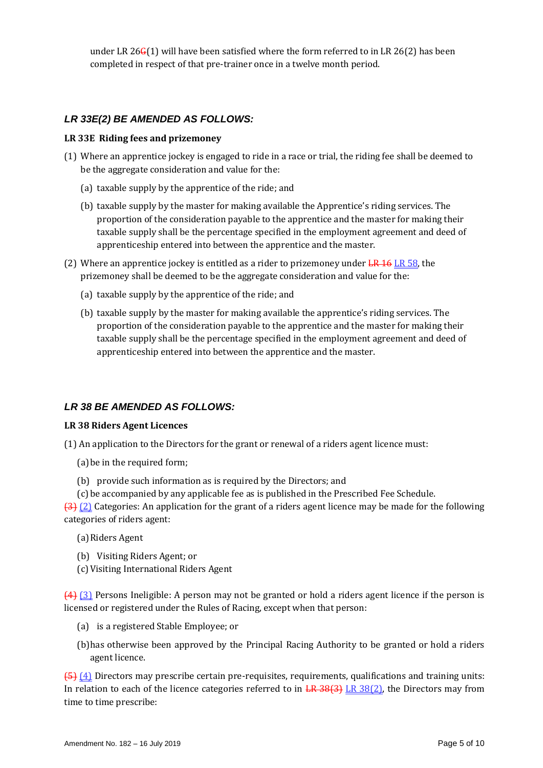under LR 26 $G(1)$  will have been satisfied where the form referred to in LR 26(2) has been completed in respect of that pre-trainer once in a twelve month period.

### *LR 33E(2) BE AMENDED AS FOLLOWS:*

#### **LR 33E Riding fees and prizemoney**

- (1) Where an apprentice jockey is engaged to ride in a race or trial, the riding fee shall be deemed to be the aggregate consideration and value for the:
	- (a) taxable supply by the apprentice of the ride; and
	- (b) taxable supply by the master for making available the Apprentice's riding services. The proportion of the consideration payable to the apprentice and the master for making their taxable supply shall be the percentage specified in the employment agreement and deed of apprenticeship entered into between the apprentice and the master.
- (2) Where an apprentice jockey is entitled as a rider to prizemoney under  $LR$  16 LR 58, the prizemoney shall be deemed to be the aggregate consideration and value for the:
	- (a) taxable supply by the apprentice of the ride; and
	- (b) taxable supply by the master for making available the apprentice's riding services. The proportion of the consideration payable to the apprentice and the master for making their taxable supply shall be the percentage specified in the employment agreement and deed of apprenticeship entered into between the apprentice and the master.

### *LR 38 BE AMENDED AS FOLLOWS:*

#### **LR 38 Riders Agent Licences**

(1) An application to the Directors for the grant or renewal of a riders agent licence must:

(a)be in the required form;

(b) provide such information as is required by the Directors; and

(c) be accompanied by any applicable fee as is published in the Prescribed Fee Schedule.

 $\left\{ \frac{3}{2} \right\}$  (2) Categories: An application for the grant of a riders agent licence may be made for the following categories of riders agent:

- (a)Riders Agent
- (b) Visiting Riders Agent; or
- (c)Visiting International Riders Agent

(4) (3) Persons Ineligible: A person may not be granted or hold a riders agent licence if the person is licensed or registered under the Rules of Racing, except when that person:

- (a) is a registered Stable Employee; or
- (b)has otherwise been approved by the Principal Racing Authority to be granted or hold a riders agent licence.

(5) (4) Directors may prescribe certain pre-requisites, requirements, qualifications and training units: In relation to each of the licence categories referred to in  $LR$  38(3) LR 38(2), the Directors may from time to time prescribe: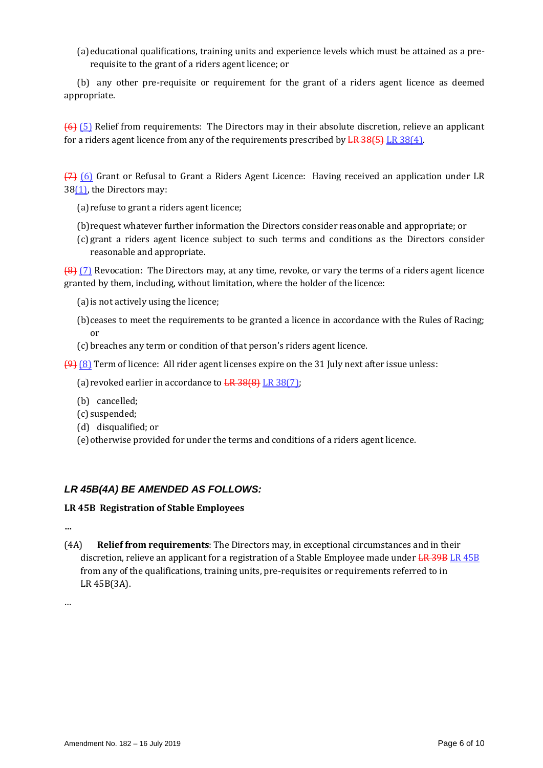(a)educational qualifications, training units and experience levels which must be attained as a prerequisite to the grant of a riders agent licence; or

(b) any other pre-requisite or requirement for the grant of a riders agent licence as deemed appropriate.

(6) (5) Relief from requirements: The Directors may in their absolute discretion, relieve an applicant for a riders agent licence from any of the requirements prescribed by  $\frac{LR \cdot 38(4)}{LR \cdot 38(4)}$ .

(7) (6) Grant or Refusal to Grant a Riders Agent Licence: Having received an application under LR 38(1), the Directors may:

- (a)refuse to grant a riders agent licence;
- (b)request whatever further information the Directors consider reasonable and appropriate; or
- (c) grant a riders agent licence subject to such terms and conditions as the Directors consider reasonable and appropriate.

(8) (7) Revocation: The Directors may, at any time, revoke, or vary the terms of a riders agent licence granted by them, including, without limitation, where the holder of the licence:

- (a)is not actively using the licence;
- (b)ceases to meet the requirements to be granted a licence in accordance with the Rules of Racing; or
- (c) breaches any term or condition of that person's riders agent licence.

(9) (8) Term of licence: All rider agent licenses expire on the 31 July next after issue unless:

(a) revoked earlier in accordance to  $LR$  38(8) LR 38(7);

- (b) cancelled;
- (c) suspended;
- (d) disqualified; or
- (e)otherwise provided for under the terms and conditions of a riders agent licence.

#### *LR 45B(4A) BE AMENDED AS FOLLOWS:*

#### **LR 45B Registration of Stable Employees**

**…**

(4A) **Relief from requirements**: The Directors may, in exceptional circumstances and in their discretion, relieve an applicant for a registration of a Stable Employee made under LR 39B LR 45B from any of the qualifications, training units, pre-requisites or requirements referred to in LR 45B(3A).

…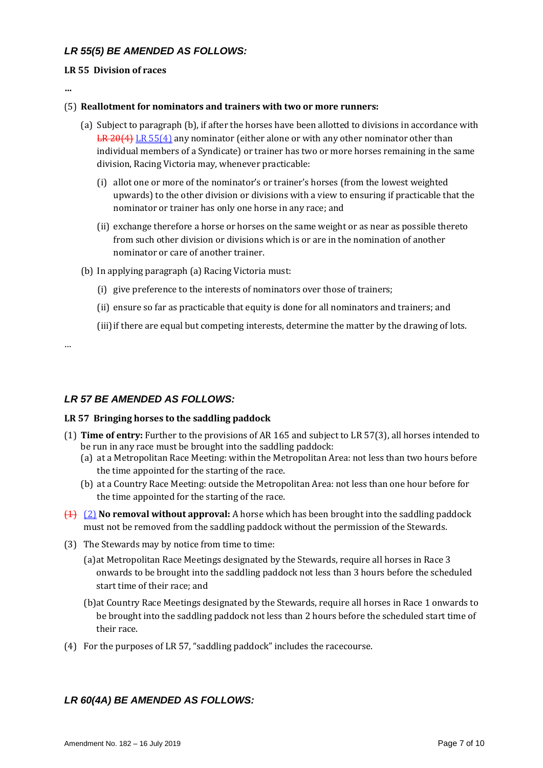### *LR 55(5) BE AMENDED AS FOLLOWS:*

#### **LR 55 Division of races**

**…**

#### (5) **Reallotment for nominators and trainers with two or more runners:**

- (a) Subject to paragraph (b), if after the horses have been allotted to divisions in accordance with LR 20(4) LR 55(4) any nominator (either alone or with any other nominator other than individual members of a Syndicate) or trainer has two or more horses remaining in the same division, Racing Victoria may, whenever practicable:
	- (i) allot one or more of the nominator's or trainer's horses (from the lowest weighted upwards) to the other division or divisions with a view to ensuring if practicable that the nominator or trainer has only one horse in any race; and
	- (ii) exchange therefore a horse or horses on the same weight or as near as possible thereto from such other division or divisions which is or are in the nomination of another nominator or care of another trainer.
- (b) In applying paragraph (a) Racing Victoria must:
	- (i) give preference to the interests of nominators over those of trainers;
	- (ii) ensure so far as practicable that equity is done for all nominators and trainers; and
	- (iii) if there are equal but competing interests, determine the matter by the drawing of lots.

…

# *LR 57 BE AMENDED AS FOLLOWS:*

### **LR 57 Bringing horses to the saddling paddock**

- (1) **Time of entry:** Further to the provisions of AR 165 and subject to LR 57(3), all horses intended to be run in any race must be brought into the saddling paddock:
	- (a) at a Metropolitan Race Meeting: within the Metropolitan Area: not less than two hours before the time appointed for the starting of the race.
	- (b) at a Country Race Meeting: outside the Metropolitan Area: not less than one hour before for the time appointed for the starting of the race.
- (1) (2) **No removal without approval:** A horse which has been brought into the saddling paddock must not be removed from the saddling paddock without the permission of the Stewards.
- (3) The Stewards may by notice from time to time:
	- (a)at Metropolitan Race Meetings designated by the Stewards, require all horses in Race 3 onwards to be brought into the saddling paddock not less than 3 hours before the scheduled start time of their race; and
	- (b)at Country Race Meetings designated by the Stewards, require all horses in Race 1 onwards to be brought into the saddling paddock not less than 2 hours before the scheduled start time of their race.
- (4) For the purposes of LR 57, "saddling paddock" includes the racecourse.

# *LR 60(4A) BE AMENDED AS FOLLOWS:*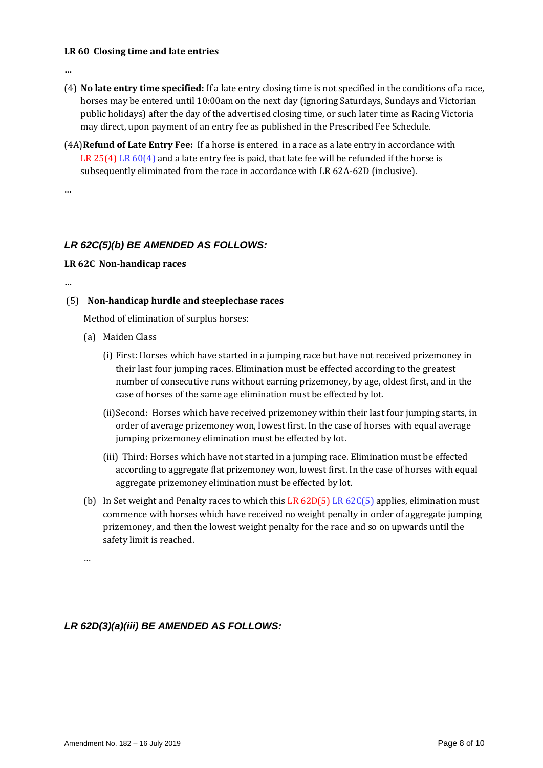#### **LR 60 Closing time and late entries**

**…**

- (4) **No late entry time specified:** If a late entry closing time is not specified in the conditions of a race, horses may be entered until 10:00am on the next day (ignoring Saturdays, Sundays and Victorian public holidays) after the day of the advertised closing time, or such later time as Racing Victoria may direct, upon payment of an entry fee as published in the Prescribed Fee Schedule.
- (4A)**Refund of Late Entry Fee:** If a horse is entered in a race as a late entry in accordance with  $LR$  25(4) LR 60(4) and a late entry fee is paid, that late fee will be refunded if the horse is subsequently eliminated from the race in accordance with LR 62A-62D (inclusive).

…

# *LR 62C(5)(b) BE AMENDED AS FOLLOWS:*

#### **LR 62C Non-handicap races**

**…**

### (5) **Non-handicap hurdle and steeplechase races**

Method of elimination of surplus horses:

- (a) Maiden Class
	- (i) First: Horses which have started in a jumping race but have not received prizemoney in their last four jumping races. Elimination must be effected according to the greatest number of consecutive runs without earning prizemoney, by age, oldest first, and in the case of horses of the same age elimination must be effected by lot.
	- (ii)Second: Horses which have received prizemoney within their last four jumping starts, in order of average prizemoney won, lowest first. In the case of horses with equal average jumping prizemoney elimination must be effected by lot.
	- (iii) Third: Horses which have not started in a jumping race. Elimination must be effected according to aggregate flat prizemoney won, lowest first. In the case of horses with equal aggregate prizemoney elimination must be effected by lot.
- (b) In Set weight and Penalty races to which this  $LR$  62D(5) LR 62C(5) applies, elimination must commence with horses which have received no weight penalty in order of aggregate jumping prizemoney, and then the lowest weight penalty for the race and so on upwards until the safety limit is reached.

…

# *LR 62D(3)(a)(iii) BE AMENDED AS FOLLOWS:*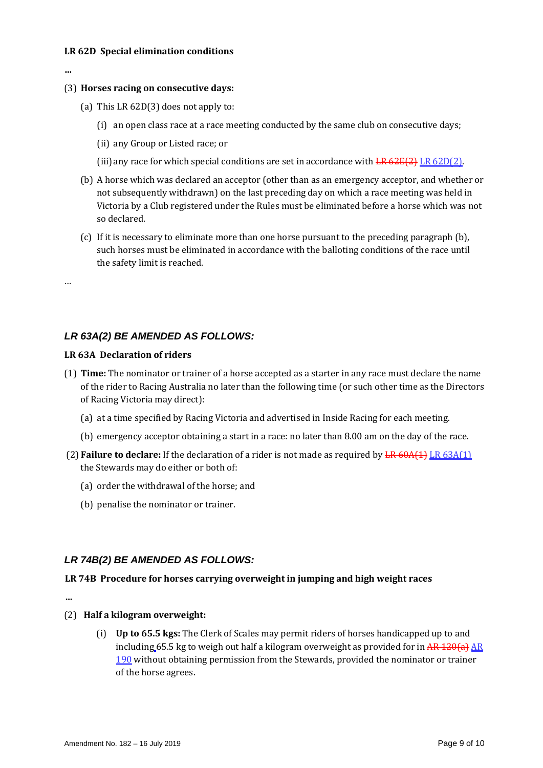#### **LR 62D Special elimination conditions**

**…**

#### (3) **Horses racing on consecutive days:**

- (a) This LR 62D(3) does not apply to:
	- (i) an open class race at a race meeting conducted by the same club on consecutive days;
	- (ii) any Group or Listed race; or
	- (iii) any race for which special conditions are set in accordance with  $LR$  62E(2) LR 62D(2).
- (b) A horse which was declared an acceptor (other than as an emergency acceptor, and whether or not subsequently withdrawn) on the last preceding day on which a race meeting was held in Victoria by a Club registered under the Rules must be eliminated before a horse which was not so declared.
- (c) If it is necessary to eliminate more than one horse pursuant to the preceding paragraph (b), such horses must be eliminated in accordance with the balloting conditions of the race until the safety limit is reached.

…

### *LR 63A(2) BE AMENDED AS FOLLOWS:*

#### **LR 63A Declaration of riders**

- (1) **Time:** The nominator or trainer of a horse accepted as a starter in any race must declare the name of the rider to Racing Australia no later than the following time (or such other time as the Directors of Racing Victoria may direct):
	- (a) at a time specified by Racing Victoria and advertised in Inside Racing for each meeting.
	- (b) emergency acceptor obtaining a start in a race: no later than 8.00 am on the day of the race.
- (2) **Failure to declare:** If the declaration of a rider is not made as required by LR 60A(1) LR 63A(1) the Stewards may do either or both of:
	- (a) order the withdrawal of the horse; and
	- (b) penalise the nominator or trainer.

#### *LR 74B(2) BE AMENDED AS FOLLOWS:*

#### **LR 74B Procedure for horses carrying overweight in jumping and high weight races**

**…**

- (2) **Half a kilogram overweight:**
	- (i) **Up to 65.5 kgs:** The Clerk of Scales may permit riders of horses handicapped up to and including 65.5 kg to weigh out half a kilogram overweight as provided for in  $AR$  120(a) AR 190 without obtaining permission from the Stewards, provided the nominator or trainer of the horse agrees.